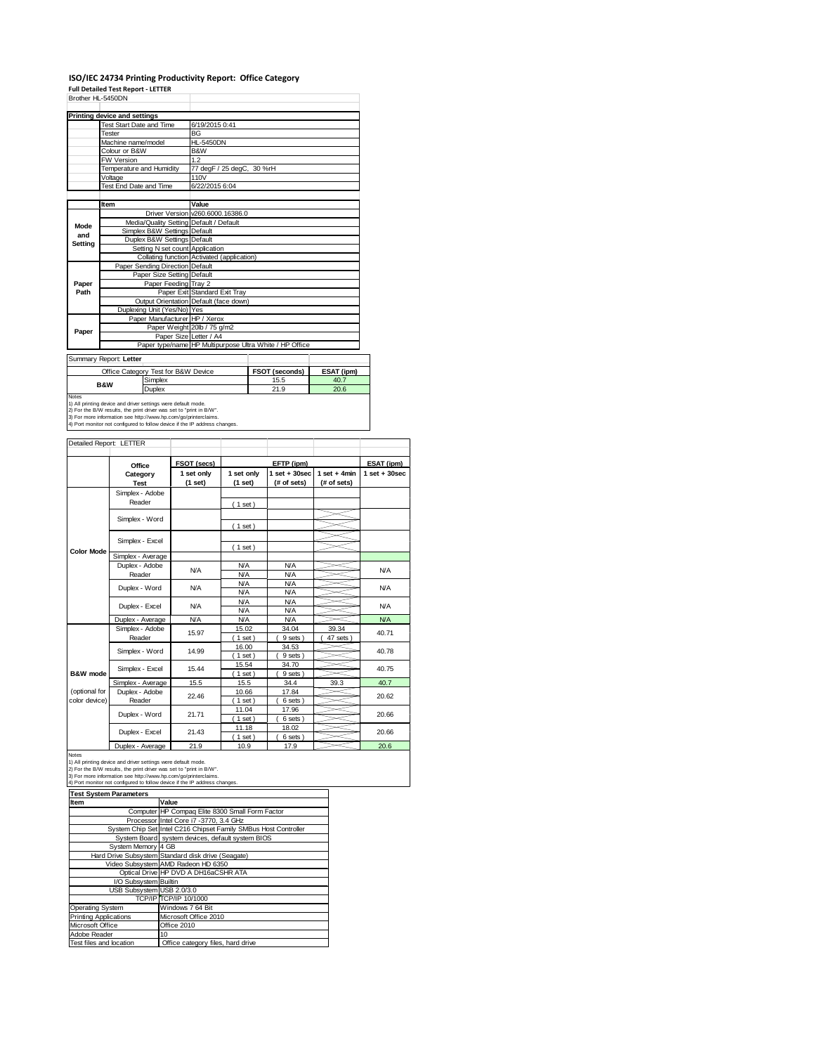### **ISO/IEC 24734 Printing Productivity Report: Office Category**

|                     | <b>Full Detailed Test Report - LETTER</b>                                                                                              |                                                              | iso/iec z4734 Printing Productivity Report: Office Category |  |                          |                |                   |
|---------------------|----------------------------------------------------------------------------------------------------------------------------------------|--------------------------------------------------------------|-------------------------------------------------------------|--|--------------------------|----------------|-------------------|
| Brother HL-5450DN   |                                                                                                                                        |                                                              |                                                             |  |                          |                |                   |
|                     |                                                                                                                                        |                                                              |                                                             |  |                          |                |                   |
|                     | <b>Printing device and settings</b>                                                                                                    |                                                              |                                                             |  |                          |                |                   |
|                     | Test Start Date and Time<br>Tester                                                                                                     | BG                                                           | 6/19/2015 0:41                                              |  |                          |                |                   |
|                     | Machine name/model                                                                                                                     | <b>HL-5450DN</b>                                             |                                                             |  |                          |                |                   |
|                     | Colour or B&W                                                                                                                          | B&W                                                          |                                                             |  |                          |                |                   |
|                     | FW Version                                                                                                                             | 1.2                                                          |                                                             |  |                          |                |                   |
|                     | Temperature and Humidity                                                                                                               |                                                              | 77 degF / 25 degC, 30 %rH                                   |  |                          |                |                   |
|                     | Voltage                                                                                                                                | 110V                                                         |                                                             |  |                          |                |                   |
|                     | Test End Date and Time                                                                                                                 | 6/22/2015 6:04                                               |                                                             |  |                          |                |                   |
|                     | Item                                                                                                                                   | Value                                                        |                                                             |  |                          |                |                   |
|                     |                                                                                                                                        | Driver Version v260.6000.16386.0                             |                                                             |  |                          |                |                   |
| Mode                | Media/Quality Setting Default / Default                                                                                                |                                                              |                                                             |  |                          |                |                   |
| and                 | Simplex B&W Settings                                                                                                                   | Default                                                      |                                                             |  |                          |                |                   |
| <b>Setting</b>      | Duplex B&W Settings                                                                                                                    | Default                                                      |                                                             |  |                          |                |                   |
|                     | Collating function                                                                                                                     | Setting N set count Application                              | Activated (application)                                     |  |                          |                |                   |
|                     | Paper Sending Direction Default                                                                                                        |                                                              |                                                             |  |                          |                |                   |
|                     |                                                                                                                                        | Paper Size Setting Default                                   |                                                             |  |                          |                |                   |
| Paper               |                                                                                                                                        | Paper Feeding Tray 2                                         |                                                             |  |                          |                |                   |
| Path                |                                                                                                                                        | Paper Exit Standard Exit Tray                                |                                                             |  |                          |                |                   |
|                     |                                                                                                                                        | Output Orientation Default (face down)                       |                                                             |  |                          |                |                   |
|                     | Duplexing Unit (Yes/No) Yes                                                                                                            |                                                              |                                                             |  |                          |                |                   |
|                     |                                                                                                                                        | Paper Manufacturer HP / Xerox<br>Paper Weight 20lb / 75 g/m2 |                                                             |  |                          |                |                   |
| Paper               |                                                                                                                                        | Paper Size Letter / A4                                       |                                                             |  |                          |                |                   |
|                     |                                                                                                                                        | Paper type/name HP Multipurpose Ultra White / HP Office      |                                                             |  |                          |                |                   |
|                     | Summary Report: Letter                                                                                                                 |                                                              |                                                             |  |                          |                |                   |
|                     | Office Category Test for B&W Device                                                                                                    |                                                              |                                                             |  | FSOT (seconds)           | ESAT (ipm)     |                   |
|                     | Simplex<br>B&W                                                                                                                         |                                                              | 40.7<br>15.5                                                |  |                          |                |                   |
| Notes               | Duplex                                                                                                                                 |                                                              | 21.9<br>20.6                                                |  |                          |                |                   |
|                     | 1) All printing device and driver settings were default mode.                                                                          |                                                              |                                                             |  |                          |                |                   |
|                     | 2) For the B/W results, the print driver was set to "print in B/W".<br>3) For more information see http://www.hp.com/go/printerclaims. |                                                              |                                                             |  |                          |                |                   |
|                     |                                                                                                                                        |                                                              |                                                             |  |                          |                |                   |
|                     | 4) Port monitor not configured to follow device if the IP address changes.                                                             |                                                              |                                                             |  |                          |                |                   |
|                     |                                                                                                                                        |                                                              |                                                             |  |                          |                |                   |
|                     | Detailed Report: LETTER                                                                                                                |                                                              |                                                             |  |                          |                |                   |
|                     |                                                                                                                                        |                                                              |                                                             |  |                          |                |                   |
|                     | Office                                                                                                                                 | FSOT (secs)                                                  |                                                             |  | EFTP (ipm)               |                | ESAT (ipm)        |
|                     | Category                                                                                                                               | 1 set only                                                   | 1 set only                                                  |  | $1$ set $+30$ sec        | 1 set $+$ 4min | $1$ set $+30$ sec |
|                     | Test                                                                                                                                   | (1 set)                                                      | (1 set)                                                     |  | (# of sets)              | (# of sets)    |                   |
|                     | Simplex - Adobe                                                                                                                        |                                                              |                                                             |  |                          |                |                   |
|                     | Reader                                                                                                                                 |                                                              | (1 set)                                                     |  |                          |                |                   |
|                     | Simplex - Word                                                                                                                         |                                                              |                                                             |  |                          |                |                   |
|                     |                                                                                                                                        |                                                              | $1$ set                                                     |  |                          |                |                   |
|                     | Simplex - Excel                                                                                                                        |                                                              |                                                             |  |                          |                |                   |
| <b>Color Mode</b>   |                                                                                                                                        |                                                              | $1$ set)                                                    |  |                          |                |                   |
|                     | Simplex - Average                                                                                                                      |                                                              |                                                             |  |                          |                |                   |
|                     | Duplex - Adobe                                                                                                                         | N/A                                                          | <b>N/A</b>                                                  |  | <b>N/A</b>               |                | <b>N/A</b>        |
|                     | Reader                                                                                                                                 |                                                              | <b>N/A</b><br><b>N/A</b>                                    |  | <b>N/A</b><br><b>N/A</b> |                |                   |
|                     | Duplex - Word                                                                                                                          | <b>N/A</b>                                                   | <b>N/A</b>                                                  |  | <b>N/A</b>               |                | <b>N/A</b>        |
|                     |                                                                                                                                        |                                                              | <b>N/A</b>                                                  |  | <b>N/A</b>               |                |                   |
|                     | Duplex - Excel                                                                                                                         | N/A                                                          | <b>N/A</b>                                                  |  | <b>N/A</b>               |                | <b>N/A</b>        |
|                     | Duplex - Average                                                                                                                       | <b>N/A</b>                                                   | <b>N/A</b>                                                  |  | <b>N/A</b>               |                | <b>N/A</b>        |
|                     | Simplex - Adobe                                                                                                                        | 15.97                                                        | 15.02                                                       |  | 34.04                    | 39.34          | 40.71             |
|                     | Reader                                                                                                                                 |                                                              | $1$ set<br>16.00                                            |  | 9 sets)<br>34.53         | 47 sets        |                   |
|                     | Simplex - Word                                                                                                                         | 14.99                                                        | $1$ set                                                     |  | 9 sets)                  |                | 40.78             |
|                     |                                                                                                                                        |                                                              | 15.54                                                       |  | 34.70                    |                |                   |
| <b>B&amp;W</b> mode | Simplex - Excel                                                                                                                        | 15.44                                                        | (1 set)                                                     |  | 9 sets                   |                | 40.75             |
|                     | Simplex - Average                                                                                                                      | 15.5                                                         | 15.5                                                        |  | 34.4                     | 39.3           | 40.7              |
| (optional for       | Duplex - Adobe                                                                                                                         | 22.46                                                        | 10.66                                                       |  | 17.84                    |                | 20.62             |
| color device)       | Reader<br>Duplex - Word                                                                                                                | 21.71                                                        | $1$ set<br>11.04                                            |  | 6 sets<br>17.96          |                |                   |

Notes<br>1) All printing do<br>2) For the B/W 1) All printing device and driver settings were default mode.<br>2) For the B/W results, the print driver was set to "print in B/W".<br>3) For more information see http://www.hp.com/go/printerclaims.<br>4) Port monitor not configur

Duplex - Excel

| <b>Test System Parameters</b> |                                                                 |  |  |  |
|-------------------------------|-----------------------------------------------------------------|--|--|--|
| Item                          | Value                                                           |  |  |  |
|                               | Computer HP Compaq Elite 8300 Small Form Factor                 |  |  |  |
|                               | Processor Intel Core i7 -3770, 3.4 GHz                          |  |  |  |
|                               | System Chip Set Intel C216 Chipset Family SMBus Host Controller |  |  |  |
|                               | System Board system devices, default system BIOS                |  |  |  |
| System Memory 4 GB            |                                                                 |  |  |  |
|                               | Hard Drive Subsystem Standard disk drive (Seagate)              |  |  |  |
|                               | Video Subsystem AMD Radeon HD 6350                              |  |  |  |
|                               | Optical Drive HP DVD A DH16aCSHR ATA                            |  |  |  |
| I/O Subsystem Builtin         |                                                                 |  |  |  |
| USB Subsystem USB 2.0/3.0     |                                                                 |  |  |  |
|                               | TCP/IP TCP/IP 10/1000                                           |  |  |  |
| <b>Operating System</b>       | Windows 7 64 Bit                                                |  |  |  |
| <b>Printing Applications</b>  | Microsoft Office 2010                                           |  |  |  |
| Microsoft Office              | Office 2010                                                     |  |  |  |
| Adobe Reader                  | 10 <sub>10</sub>                                                |  |  |  |
| Test files and location       | Office category files, hard drive                               |  |  |  |

21.43

 $\frac{11.18}{(1 \text{ set})}$ <br> $\frac{11.18}{10.9}$ 

Duplex - Average 21.9 10.9 17.9 20.6

18.02  $(6 sets)$  20.66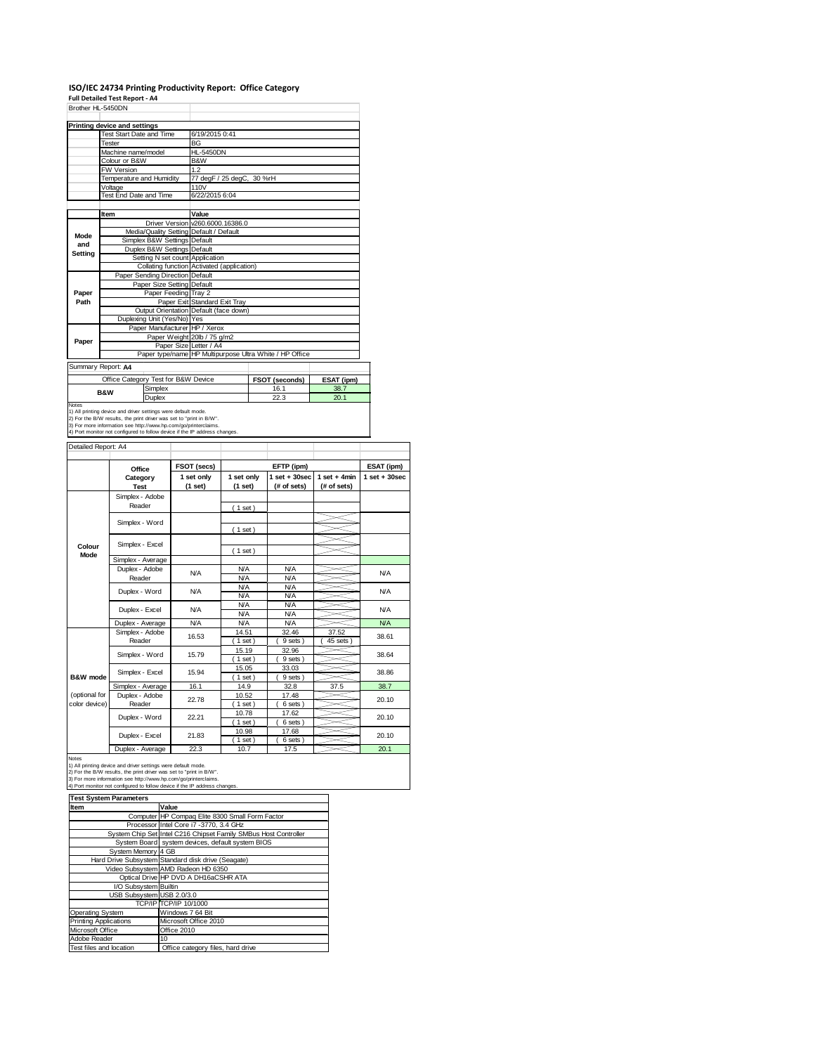#### **ISO/IEC 24734 Printing Productivity Report: Office Category**

|                     | Full Detailed Test Report - A4<br>Brother HL-5450DN                                                                                                                                                                  |                                                         |                          |        |                                 |                               |                   |  |
|---------------------|----------------------------------------------------------------------------------------------------------------------------------------------------------------------------------------------------------------------|---------------------------------------------------------|--------------------------|--------|---------------------------------|-------------------------------|-------------------|--|
|                     |                                                                                                                                                                                                                      |                                                         |                          |        |                                 |                               |                   |  |
|                     | Printing device and settings<br>Test Start Date and Time                                                                                                                                                             | 6/19/2015 0:41                                          |                          |        |                                 |                               |                   |  |
|                     | Tester                                                                                                                                                                                                               | BG                                                      |                          |        |                                 |                               |                   |  |
|                     | Machine name/model                                                                                                                                                                                                   | <b>HL-5450DN</b>                                        |                          |        |                                 |                               |                   |  |
|                     | Colour or B&W                                                                                                                                                                                                        | B&W                                                     |                          |        |                                 |                               |                   |  |
|                     | FW Version<br>Temperature and Humidity                                                                                                                                                                               | 1.2                                                     | 77 degF / 25 degC,       | 30 %rH |                                 |                               |                   |  |
|                     | Voltage                                                                                                                                                                                                              | 110V                                                    |                          |        |                                 |                               |                   |  |
|                     | Test End Date and Time                                                                                                                                                                                               | 6/22/2015 6:04                                          |                          |        |                                 |                               |                   |  |
|                     | Item                                                                                                                                                                                                                 | Value                                                   |                          |        |                                 |                               |                   |  |
|                     | Driver Version                                                                                                                                                                                                       | v260.6000.16386.0                                       |                          |        |                                 |                               |                   |  |
| Mode                | Simplex B&W Settings                                                                                                                                                                                                 | Media/Quality Setting Default / Default                 |                          |        |                                 |                               |                   |  |
| and                 | Duplex B&W Settings                                                                                                                                                                                                  | Default<br>Default                                      |                          |        |                                 |                               |                   |  |
| Setting             |                                                                                                                                                                                                                      | Setting N set count Application                         |                          |        |                                 |                               |                   |  |
|                     |                                                                                                                                                                                                                      | Collating function Activated (application)              |                          |        |                                 |                               |                   |  |
|                     | Paper Sending Direction Default                                                                                                                                                                                      |                                                         |                          |        |                                 |                               |                   |  |
| Paper               |                                                                                                                                                                                                                      | Paper Size Setting Default<br>Paper Feeding Tray 2      |                          |        |                                 |                               |                   |  |
| Path                |                                                                                                                                                                                                                      | Paper Exit Standard Exit Tray                           |                          |        |                                 |                               |                   |  |
|                     |                                                                                                                                                                                                                      | Output Orientation Default (face down)                  |                          |        |                                 |                               |                   |  |
|                     | Duplexing Unit (Yes/No)                                                                                                                                                                                              | Yes                                                     |                          |        |                                 |                               |                   |  |
|                     |                                                                                                                                                                                                                      | Paper Manufacturer HP / Xerox                           |                          |        |                                 |                               |                   |  |
| Paper               |                                                                                                                                                                                                                      | Paper Weight 20lb / 75 g/m2<br>Paper Size Letter / A4   |                          |        |                                 |                               |                   |  |
|                     |                                                                                                                                                                                                                      | Paper type/name HP Multipurpose Ultra White / HP Office |                          |        |                                 |                               |                   |  |
|                     | Summary Report: A4                                                                                                                                                                                                   |                                                         |                          |        |                                 |                               |                   |  |
|                     | Office Category Test for B&W Device                                                                                                                                                                                  |                                                         |                          |        | FSOT (seconds)                  | ESAT (ipm)                    |                   |  |
|                     | Simplex<br><b>B&amp;W</b>                                                                                                                                                                                            |                                                         |                          |        | 16.1                            | 38.7                          |                   |  |
| Notes               | Duplex                                                                                                                                                                                                               |                                                         |                          |        | 22.3                            | 20.1                          |                   |  |
| Detailed Report: A4 | 2) For the B/W results, the print driver was set to "print in B/W".<br>3) For more information see http://www.hp.com/go/printerclaims.<br>4) Port monitor not configured to follow device if the IP address changes. |                                                         |                          |        |                                 |                               |                   |  |
|                     |                                                                                                                                                                                                                      |                                                         |                          |        |                                 |                               |                   |  |
|                     | Office                                                                                                                                                                                                               | FSOT (secs)                                             |                          |        | EFTP (ipm)                      |                               | ESAT (ipm)        |  |
|                     | Category<br><b>Test</b>                                                                                                                                                                                              | 1 set only<br>(1 set)                                   | 1 set only<br>(1 set)    |        | $1 set + 30 sec$<br>(# of sets) | $1$ set + 4min<br>(# of sets) | $1$ set $+30$ sec |  |
|                     | Simplex - Adobe                                                                                                                                                                                                      |                                                         |                          |        |                                 |                               |                   |  |
|                     | Reader                                                                                                                                                                                                               |                                                         | $(1$ set)                |        |                                 |                               |                   |  |
|                     |                                                                                                                                                                                                                      |                                                         |                          |        |                                 |                               |                   |  |
|                     | Simplex - Word                                                                                                                                                                                                       |                                                         | (1 set)                  |        |                                 |                               |                   |  |
|                     |                                                                                                                                                                                                                      |                                                         |                          |        |                                 |                               |                   |  |
| Colour              | Simplex - Excel                                                                                                                                                                                                      |                                                         | (1 set)                  |        |                                 |                               |                   |  |
| Mode                | Simplex - Average                                                                                                                                                                                                    |                                                         |                          |        |                                 |                               |                   |  |
|                     | Duplex - Adobe                                                                                                                                                                                                       | N/A                                                     | <b>N/A</b>               |        | <b>N/A</b>                      |                               | <b>N/A</b>        |  |
|                     | Reader                                                                                                                                                                                                               |                                                         | <b>N/A</b>               |        | <b>N/A</b><br><b>N/A</b>        |                               |                   |  |
|                     | Duplex - Word                                                                                                                                                                                                        | <b>N/A</b>                                              | <b>N/A</b><br><b>N/A</b> |        | <b>N/A</b>                      |                               | <b>N/A</b>        |  |
|                     |                                                                                                                                                                                                                      | <b>N/A</b>                                              | <b>N/A</b>               |        | <b>N/A</b>                      |                               | <b>N/A</b>        |  |
|                     | Duplex - Excel                                                                                                                                                                                                       |                                                         | <b>N/A</b>               |        | N/A                             |                               |                   |  |
|                     | Duplex - Average                                                                                                                                                                                                     | N/A                                                     | <b>N/A</b>               |        | <b>N/A</b>                      |                               | <b>N/A</b>        |  |
|                     | Simplex - Adobe<br>Reader                                                                                                                                                                                            | 16.53                                                   | 14.51<br>(1 set)         |        | 32.46                           | 37.52                         | 38.61             |  |
|                     |                                                                                                                                                                                                                      |                                                         | 15.19                    |        | 9 sets<br>32.96                 | 45 sets                       |                   |  |
|                     | Simplex - Word                                                                                                                                                                                                       | 15.79                                                   | $1$ set                  |        | 9 sets                          |                               | 38.64             |  |
|                     | Simplex - Excel                                                                                                                                                                                                      | 15.94                                                   | 15.05                    |        | 33.03                           |                               | 38.86             |  |
| <b>B&amp;W</b> mode |                                                                                                                                                                                                                      |                                                         | $1$ set)                 |        | 9 sets                          |                               |                   |  |
| (optional for       | Simplex - Average<br>Duplex - Adobe                                                                                                                                                                                  | 16.1                                                    | 14.9<br>10.52            |        | 32.8<br>17.48                   | 37.5                          | 38.7              |  |
| color device)       | Reader                                                                                                                                                                                                               | 22.78                                                   | $1$ set                  |        | 6 sets                          |                               | 20.10             |  |
|                     |                                                                                                                                                                                                                      | 22.21                                                   | 10.78                    |        | 17.62                           |                               | 20.10             |  |
|                     | Duplex - Word                                                                                                                                                                                                        |                                                         | $1$ set)                 |        | 6 sets)                         |                               |                   |  |
|                     |                                                                                                                                                                                                                      |                                                         | 10.98                    |        |                                 |                               |                   |  |
|                     | Duplex - Excel                                                                                                                                                                                                       | 21.83                                                   | $1$ set                  |        | 17.68<br>6 sets)                |                               | 20.10             |  |

Notes<br>
Notes<br>
1) All printing device and driver settings were default mode.<br>
2) For the B/W results, the print driver was set to "print in B/W".<br>
2) For more information see http://www.hp.com/go/go/intercelaims.<br>
3) For

| <b>Test System Parameters</b> |                                                                 |  |  |  |
|-------------------------------|-----------------------------------------------------------------|--|--|--|
| Item                          | Value                                                           |  |  |  |
|                               | Computer HP Compaq Elite 8300 Small Form Factor                 |  |  |  |
|                               | Processor Intel Core i7 -3770, 3.4 GHz                          |  |  |  |
|                               | System Chip Set Intel C216 Chipset Family SMBus Host Controller |  |  |  |
|                               | System Board system devices, default system BIOS                |  |  |  |
| System Memory 4 GB            |                                                                 |  |  |  |
|                               | Hard Drive Subsystem Standard disk drive (Seagate)              |  |  |  |
|                               | Video Subsystem AMD Radeon HD 6350                              |  |  |  |
|                               | Optical Drive HP DVD A DH16aCSHR ATA                            |  |  |  |
| I/O Subsystem Builtin         |                                                                 |  |  |  |
| USB Subsystem USB 2.0/3.0     |                                                                 |  |  |  |
|                               | <b>TCP/IP TCP/IP 10/1000</b>                                    |  |  |  |
| <b>Operating System</b>       | Windows 7 64 Bit                                                |  |  |  |
| Printing Applications         | Microsoft Office 2010                                           |  |  |  |
| Microsoft Office              | Office 2010                                                     |  |  |  |
| Adobe Reader                  | 10                                                              |  |  |  |
| Test files and location       | Office category files, hard drive                               |  |  |  |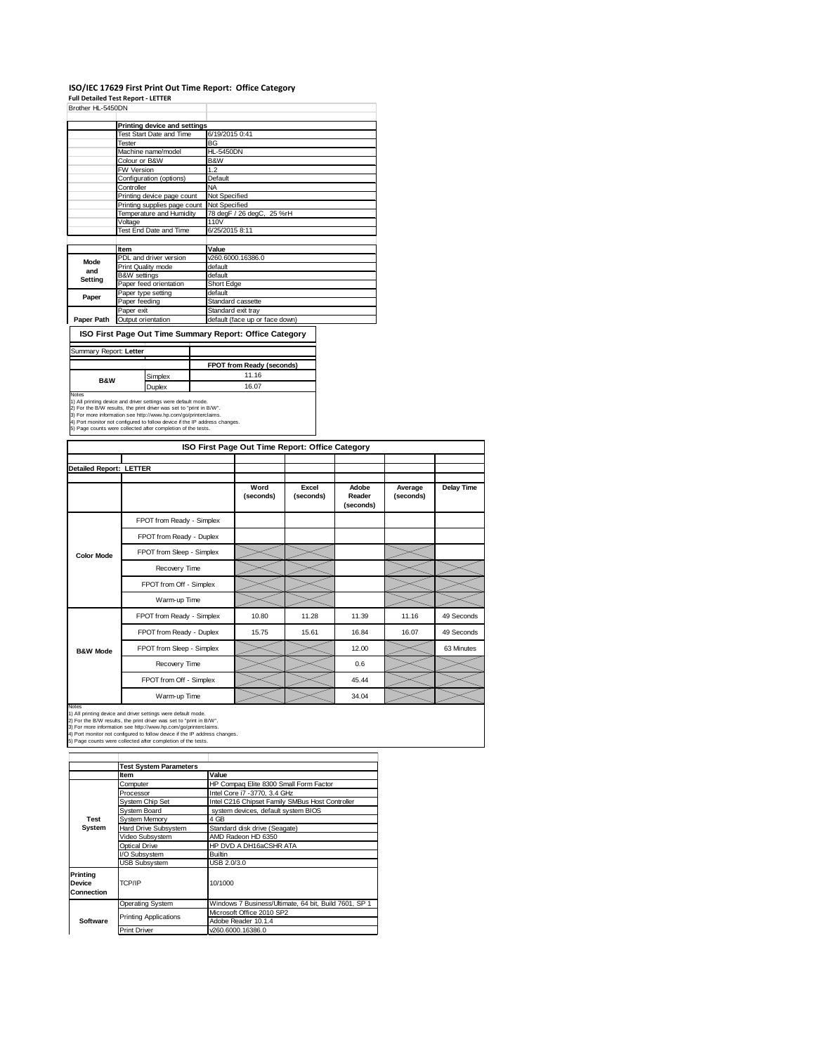# **ISO/IEC 17629 First Print Out Time Report: Office Category Full Detailed Test Report ‐ LETTER**

| Test Start Date and Time     | 6/19/2015 0:41                    |  |  |  |
|------------------------------|-----------------------------------|--|--|--|
| Tester                       | BG                                |  |  |  |
| Machine name/model           | <b>HL-5450DN</b>                  |  |  |  |
| Colour or B&W                | B&W                               |  |  |  |
| <b>FW Version</b>            | 1.2                               |  |  |  |
| Configuration (options)      | Default                           |  |  |  |
| Controller                   | <b>NA</b>                         |  |  |  |
| Printing device page count   | Not Specified                     |  |  |  |
| Printing supplies page count | Not Specified                     |  |  |  |
| Temperature and Humidity     | 78 degF / 26 degC, 25 %rH<br>110V |  |  |  |
| Voltage                      |                                   |  |  |  |
| Test End Date and Time       | 6/25/2015 8:11                    |  |  |  |
|                              |                                   |  |  |  |
| Item                         | Value                             |  |  |  |
| PDL and driver version       | v260.6000.16386.0                 |  |  |  |
| Print Quality mode           | default                           |  |  |  |
| <b>B&amp;W</b> settings      | default                           |  |  |  |
| Paper feed orientation       | Short Edge                        |  |  |  |
| Paper type setting           | default                           |  |  |  |
| Paper feeding                | Standard cassette                 |  |  |  |
| Paper exit                   | Standard exit tray                |  |  |  |
| Output orientation           | default (face up or face down)    |  |  |  |
|                              | Printing device and settings      |  |  |  |

## **ISO First Page Out Time Summary Report: Office Category**

| Summary Report: Letter |               |                                  |
|------------------------|---------------|----------------------------------|
|                        |               | <b>FPOT from Ready (seconds)</b> |
| <b>B&amp;W</b>         | Simplex       | 11.16                            |
|                        | <b>Duplex</b> | 16.07                            |

1) All pinting device and driver settings were default mode.<br>2) For the BJW results, the print driver was set to "print in BJW".<br>3) For more information see http://www.hp.com/go/printenclaims.<br>4) Port monitor not configure

| ISO First Page Out Time Report: Office Category |                           |                   |                    |                              |                      |                   |
|-------------------------------------------------|---------------------------|-------------------|--------------------|------------------------------|----------------------|-------------------|
| <b>Detailed Report: LETTER</b>                  |                           |                   |                    |                              |                      |                   |
|                                                 |                           | Word<br>(seconds) | Excel<br>(seconds) | Adobe<br>Reader<br>(seconds) | Average<br>(seconds) | <b>Delay Time</b> |
|                                                 | FPOT from Ready - Simplex |                   |                    |                              |                      |                   |
|                                                 | FPOT from Ready - Duplex  |                   |                    |                              |                      |                   |
| <b>Color Mode</b>                               | FPOT from Sleep - Simplex |                   |                    |                              |                      |                   |
|                                                 | Recovery Time             |                   |                    |                              |                      |                   |
|                                                 | FPOT from Off - Simplex   |                   |                    |                              |                      |                   |
|                                                 | Warm-up Time              |                   |                    |                              |                      |                   |
|                                                 | FPOT from Ready - Simplex | 10.80             | 11.28              | 11.39                        | 11.16                | 49 Seconds        |
|                                                 | FPOT from Ready - Duplex  | 15.75             | 15.61              | 16.84                        | 16.07                | 49 Seconds        |
| <b>B&amp;W Mode</b>                             | FPOT from Sleep - Simplex |                   |                    | 12.00                        |                      | 63 Minutes        |
|                                                 | Recovery Time             |                   |                    | 0.6                          |                      |                   |
|                                                 | FPOT from Off - Simplex   |                   |                    | 45.44                        |                      |                   |
|                                                 | Warm-up Time              |                   |                    | 34.04                        |                      |                   |

Notes<br>1) All printing device and driver settings were default mode.<br>2) For the B/W results, the print driver was set to "print in B/W".<br>3) For more information see http://www.hp.com/go/printerclaims.<br>4) Port monitor not co

|                                                       | <b>Test System Parameters</b>            |                                                       |  |  |  |
|-------------------------------------------------------|------------------------------------------|-------------------------------------------------------|--|--|--|
|                                                       | Item                                     | Value                                                 |  |  |  |
|                                                       | Computer                                 | HP Compaq Elite 8300 Small Form Factor                |  |  |  |
|                                                       | Processor                                | Intel Core i7 - 3770, 3.4 GHz                         |  |  |  |
|                                                       | System Chip Set                          | Intel C216 Chipset Family SMBus Host Controller       |  |  |  |
|                                                       | System Board                             | system devices, default system BIOS                   |  |  |  |
| Test                                                  | <b>System Memory</b>                     | 4 GB                                                  |  |  |  |
| System                                                | Hard Drive Subsystem                     | Standard disk drive (Seagate)                         |  |  |  |
|                                                       | Video Subsystem                          | AMD Radeon HD 6350                                    |  |  |  |
|                                                       | Optical Drive<br>HP DVD A DH16aCSHR ATA  |                                                       |  |  |  |
|                                                       | I/O Subsystem                            | <b>Builtin</b>                                        |  |  |  |
|                                                       | <b>USB Subsystem</b>                     | USB 2.0/3.0                                           |  |  |  |
| <b>Printing</b><br><b>Device</b><br><b>Connection</b> | TCP/IP                                   | 10/1000                                               |  |  |  |
|                                                       | Operating System                         | Windows 7 Business/Ultimate, 64 bit, Build 7601, SP 1 |  |  |  |
|                                                       | <b>Printing Applications</b>             | Microsoft Office 2010 SP2                             |  |  |  |
| Software                                              |                                          | Adobe Reader 10.1.4                                   |  |  |  |
|                                                       | v260.6000.16386.0<br><b>Print Driver</b> |                                                       |  |  |  |